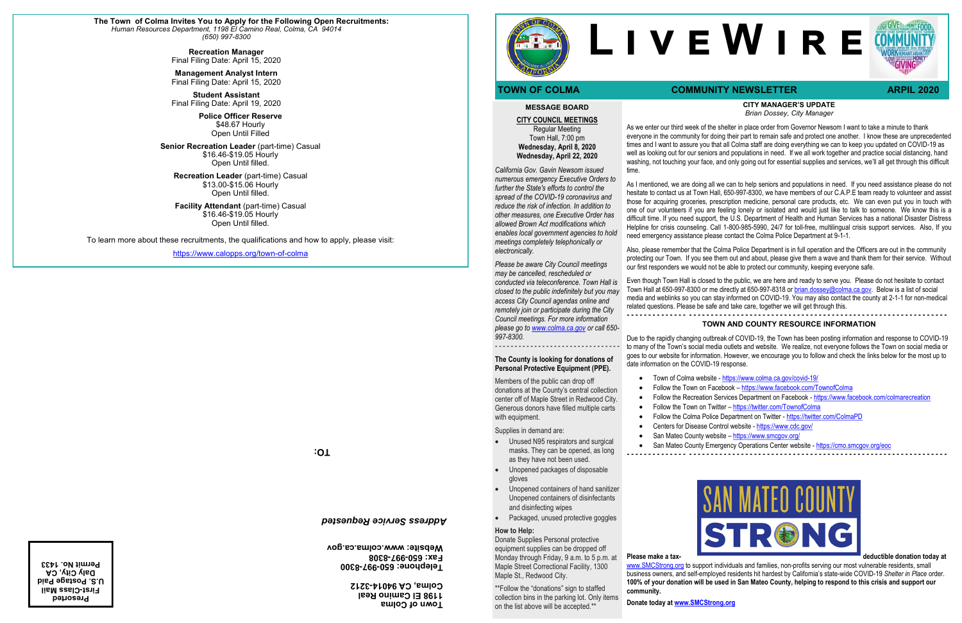#### **CITY MANAGER'S UPDATE** *Brian Dossey, City Manager*

As we enter our third week of the shelter in place order from Governor Newsom I want to take a minute to thank everyone in the community for doing their part to remain safe and protect one another. I know these are unprecedented times and I want to assure you that all Colma staff are doing everything we can to keep you updated on COVID-19 as well as looking out for our seniors and populations in need. If we all work together and practice social distancing, hand washing, not touching your face, and only going out for essential supplies and services, we'll all get through this difficult

time.

As I mentioned, we are doing all we can to help seniors and populations in need. If you need assistance please do not hesitate to contact us at Town Hall, 650-997-8300, we have members of our C.A.P.E team ready to volunteer and assist those for acquiring groceries, prescription medicine, personal care products, etc. We can even put you in touch with one of our volunteers if you are feeling lonely or isolated and would just like to talk to someone. We know this is a difficult time. If you need support, the U.S. Department of Health and Human Services has a national Disaster Distress Helpline for crisis counseling. Call 1-800-985-5990, 24/7 for toll-free, multilingual crisis support services. Also, If you need emergency assistance please contact the Colma Police Department at 9-1-1.

- Centers for Disease Control website <https://www.cdc.gov/>
- San Mateo County website <https://www.smcgov.org/>

Also, please remember that the Colma Police Department is in full operation and the Officers are out in the community protecting our Town. If you see them out and about, please give them a wave and thank them for their service. Without our first responders we would not be able to protect our community, keeping everyone safe.

[www.SMCStrong.org](http://www.SMCStrong.org) to support individuals and families, non-profits serving our most vulnerable residents, small business owners, and self-employed residents hit hardest by California's state-wide COVID-19 *Shelter in Place* order. **100% of your donation will be used in San Mateo County, helping to respond to this crisis and support our community.**

Even though Town Hall is closed to the public, we are here and ready to serve you. Please do not hesitate to contact Town Hall at 650-997-8300 or me directly at 650-997-8318 or [brian.dossey@colma.ca.gov.](mailto:brian.dossey@colma.ca.gov) Below is a list of social media and weblinks so you can stay informed on COVID-19. You may also contact the county at 2-1-1 for non-medical related questions. Please be safe and take care, together we will get through this.

**- - - - - - - - - - - - - - - - - - - - - - - - - - - - - - - - - - - - - - - - - - - - - - - - - - - - - - - - - - - - - - - - - - - - - - - - - -**

### **TOWN AND COUNTY RESOURCE INFORMATION**

Members of the public can drop off donations at the County's central collection center off of Maple Street in Redwood City. Generous donors have filled multiple carts with equipment.

Due to the rapidly changing outbreak of COVID-19, the Town has been posting information and response to COVID-19 to many of the Town's social media outlets and website. We realize, not everyone follows the Town on social media or goes to our website for information. However, we encourage you to follow and check the links below for the most up to date information on the COVID-19 response.

- 
- Follow the Town on Facebook <https://www.facebook.com/TownofColma>
- Follow the Recreation Services Department on Facebook <https://www.facebook.com/colmarecreation>
- Follow the Town on Twitter <https://twitter.com/TownofColma>
- 
- 
- 
- 
- San Mateo County Emergency Operations Center website <https://cmo.smcgov.org/eoc>
	-

• Town of Colma website - <https://www.colma.ca.gov/covid-19/>

• Follow the Colma Police Department on Twitter - <https://twitter.com/ColmaPD>

**- - - - - - - - - - - - - - - - - - - - - - - - - - - - - - - - - - - - - - - - - - - - - - - - - - - - - - - - - - - - - - - - - - - - - - - - - -**



**Donate today at [www.SMCStrong.org](http://www.SMCStrong.org)**

#### **MESSAGE BOARD**

**CITY COUNCIL MEETINGS** Regular Meeting Town Hall, 7:00 pm **Wednesday, April 8, 2020 Wednesday, April 22, 2020** 

*California Gov. Gavin Newsom issued numerous emergency Executive Orders to further the State's efforts to control the spread of the COVID-19 coronavirus and reduce the risk of infection. In addition to other measures, one Executive Order has allowed Brown Act modifications which enables local government agencies to hold meetings completely telephonically or electronically.* 

*Please be aware City Council meetings may be cancelled, rescheduled or conducted via teleconference. Town Hall is closed to the public indefinitely but you may access City Council agendas online and remotely join or participate during the City Council meetings. For more information* 

*please go to [www.colma.ca.gov](http://www.colma.ca.gov) or call 650- 997-8300. - - - - - - - - - - - - - - - - - - - - - - - - - - - - - - - -*

#### **The County is looking for donations of Personal Protective Equipment (PPE).**

Supplies in demand are:

- Unused N95 respirators and surgical masks. They can be opened, as long as they have not been used.
- Unopened packages of disposable gloves
- Unopened containers of hand sanitizer Unopened containers of disinfectants and disinfecting wipes
- Packaged, unused protective goggles

#### **How to Help:**

Donate Supplies Personal protective equipment supplies can be dropped off Monday through Friday, 9 a.m. to 5 p.m. at Maple Street Correctional Facility, 1300 Maple St., Redwood City.

\*\*Follow the "donations" sign to staffed collection bins in the parking lot. Only items on the list above will be accepted.\*\*

# **L i v e W i r e**

# **TOWN OF COLMA COMMUNITY NEWSLETTER ARPIL 2020**



**TO:**

**Town of Colma 1198 El Camino Real 3212 - Colma, CA 94014**



**8300 - 997 - Telephone: 650 8308 - 997 - Fax: 650 Website: www.colma.ca.gov**

## *Address Service Requested*

**Presorted First-Class Mail U.S. Postage Paid Daly City, CA Permit No. 1433**

**The Town of Colma Invites You to Apply for the Following Open Recruitments:** *Human Resources Department, 1198 El Camino Real, Colma, CA 94014 (650) 997-8300* 

> **Recreation Manager** Final Filing Date: April 15, 2020

> **Management Analyst Intern** Final Filing Date: April 15, 2020

> **Student Assistant** Final Filing Date: April 19, 2020

> > **Police Officer Reserve** \$48.67 Hourly Open Until Filled

**Senior Recreation Leader** (part-time) Casual \$16.46-\$19.05 Hourly Open Until filled.

**Recreation Leader** (part-time) Casual \$13.00-\$15.06 Hourly Open Until filled.

**Facility Attendant** (part-time) Casual \$16.46-\$19.05 Hourly Open Until filled.

To learn more about these recruitments, the qualifications and how to apply, please visit:

[https://www.calopps.org/town](https://www.calopps.org/town-of-colma)-of-colma